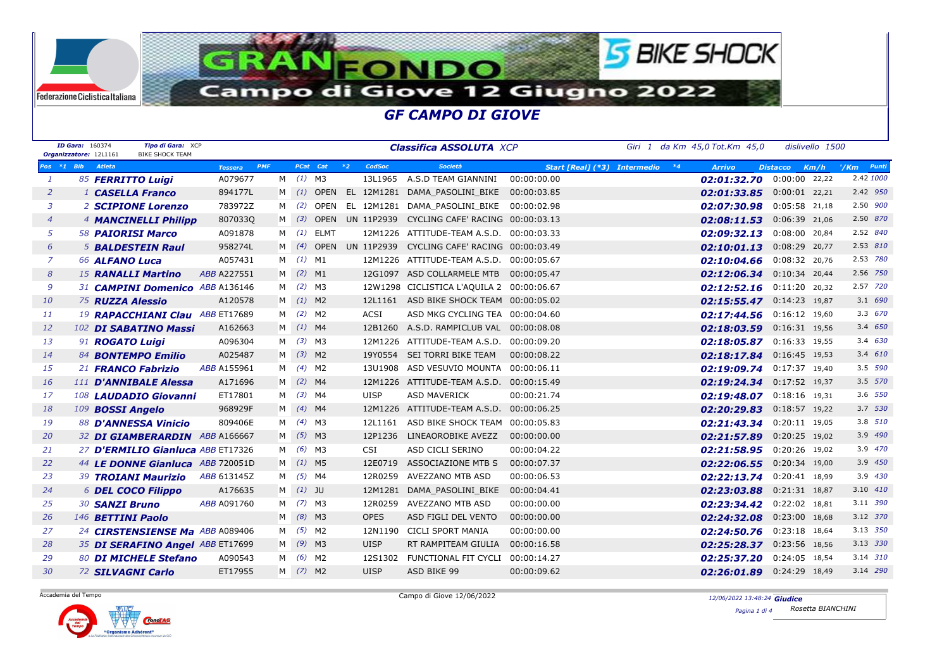

|                | <b>ID Gara: 160374</b> | Tipo di Gara: XCP<br><b>BIKE SHOCK TEAM</b><br>Organizzatore: 12L1161 |                    |            |              |             |             | <b>Classifica ASSOLUTA XCP</b>                         |                                 | Giri 1 da Km 45,0 Tot.Km 45,0 |                 | dislivello 1500 |                         |
|----------------|------------------------|-----------------------------------------------------------------------|--------------------|------------|--------------|-------------|-------------|--------------------------------------------------------|---------------------------------|-------------------------------|-----------------|-----------------|-------------------------|
| $Pos *1$ Bib   |                        | <b>Atleta</b>                                                         | <b>Tessera</b>     | <b>PMF</b> |              | PCat Cat *2 | CodSoc      | <b>Società</b>                                         | Start [Real] (*3) Intermedio *4 | <b>Arrivo</b>                 | <b>Distacco</b> | Km/h            | Punti<br>$^{\prime}/Km$ |
| $\mathbf{1}$   |                        | 85 FERRITTO Luigi                                                     | A079677            |            | $M$ (1) M3   |             |             | 13L1965 A.S.D TEAM GIANNINI                            | 00:00:00.00                     | $02:01:32.70$ $0:00:00$ 22,22 |                 |                 | 2.42 1000               |
| $\overline{2}$ |                        | <sup>1</sup> CASELLA Franco                                           | 894177L            |            |              |             |             | M (1) OPEN EL 12M1281 DAMA_PASOLINI_BIKE 00:00:03.85   |                                 | 02:01:33.85  0:00:01  22,21   |                 |                 | 2.42 950                |
| 3              |                        | 2 SCIPIONE Lorenzo                                                    | 783972Z            | M          | (2)          |             |             | OPEN EL 12M1281 DAMA PASOLINI BIKE 00:00:02.98         |                                 | 02:07:30.98  0:05:58  21,18   |                 |                 | 2.50 900                |
| $\overline{4}$ |                        | 4 <b>MANCINELLI Philipp</b>                                           | 8070330            |            |              |             |             | M (3) OPEN UN 11P2939 CYCLING CAFE' RACING 00:00:03.13 |                                 | 02:08:11.53  0:06:39  21,06   |                 |                 | 2.50 870                |
| 5              |                        | <b>58 PAIORISI Marco</b>                                              | A091878            | M          |              | $(1)$ ELMT  |             | 12M1226 ATTITUDE-TEAM A.S.D. 00:00:03.33               |                                 | 02:09:32.13  0:08:00  20,84   |                 |                 | 2.52 840                |
| 6              |                        | <b>5 BALDESTEIN Raul</b>                                              | 958274L            | м          | (4)          |             |             | OPEN UN 11P2939 CYCLING CAFE' RACING 00:00:03.49       |                                 | 02:10:01.13  0:08:29  20,77   |                 |                 | 2.53 810                |
| $\overline{z}$ |                        | 66 ALFANO Luca                                                        | A057431            | M          |              | $(1)$ M1    |             | 12M1226 ATTITUDE-TEAM A.S.D. 00:00:05.67               |                                 | 02:10:04.66 0:08:32 20,76     |                 |                 | 2.53 780                |
| 8              |                        | 15 RANALLI Martino                                                    | ABB A227551        | M          |              | $(2)$ M1    |             | 12G1097 ASD COLLARMELE MTB  00:00:05.47                |                                 | 02:12:06.34 0:10:34 20,44     |                 |                 | 2.56 750                |
| 9              |                        | 31 CAMPINI Domenico ABB A136146                                       |                    | M          |              | $(2)$ M3    |             | 12W1298 CICLISTICA L'AQUILA 2 00:00:06.67              |                                 | 02:12:52.16 0:11:20 20,32     |                 |                 | 2.57 720                |
| 10             |                        | 75 RUZZA Alessio                                                      | A120578            |            | $M$ (1) M2   |             |             | 12L1161 ASD BIKE SHOCK TEAM 00:00:05.02                |                                 | 02:15:55.47 0:14:23 19,87     |                 |                 | 3.1 690                 |
| 11             |                        | 19 RAPACCHIANI Clau ABB ET17689                                       |                    |            | M (2) M2     |             | <b>ACSI</b> | ASD MKG CYCLING TEA 00:00:04.60                        |                                 | 02:17:44.56 0:16:12 19,60     |                 |                 | 3.3 670                 |
| 12             |                        | 102 DI SABATINO Massi                                                 | A162663            | м          |              | $(1)$ M4    |             | 12B1260 A.S.D. RAMPICLUB VAL 00:00:08.08               |                                 | 02:18:03.59 0:16:31 19,56     |                 |                 | 3.4 650                 |
| 13             |                        | 91 ROGATO Luigi                                                       | A096304            | M          |              | $(3)$ M3    |             | 12M1226 ATTITUDE-TEAM A.S.D. 00:00:09.20               |                                 | 02:18:05.87 0:16:33 19,55     |                 |                 | 3.4 630                 |
| 14             |                        | 84 <b>BONTEMPO Emilio</b>                                             | A025487            |            | $M$ (3) M2   |             |             | 19Y0554 SEI TORRI BIKE TEAM                            | 00:00:08.22                     | 02:18:17.84 0:16:45 19,53     |                 |                 | 3.4 610                 |
| 15             |                        | 21 FRANCO Fabrizio                                                    | ABB A155961        | M          |              | $(4)$ M2    | 13U1908     | ASD VESUVIO MOUNTA 00:00:06.11                         |                                 | 02:19:09.74 0:17:37 19,40     |                 |                 | 3.5 590                 |
| <b>16</b>      |                        | 111 D'ANNIBALE Alessa                                                 | A171696            | м          |              | $(2)$ M4    |             | 12M1226 ATTITUDE-TEAM A.S.D. 00:00:15.49               |                                 | 02:19:24.34 0:17:52 19,37     |                 |                 | 3.5 570                 |
| 17             |                        | 108 LAUDADIO Giovanni                                                 | ET17801            |            | $M$ (3) M4   |             | <b>UISP</b> | <b>ASD MAVERICK</b>                                    | 00:00:21.74                     | 02:19:48.07 0:18:16 19,31     |                 |                 | 3.6 550                 |
| 18             |                        | 109 BOSSI Angelo                                                      | 968929F            | M          | $(4)$ M4     |             |             | 12M1226 ATTITUDE-TEAM A.S.D. 00:00:06.25               |                                 | $02:20:29.83$ 0:18:57 19,22   |                 |                 | 3.7 530                 |
| 19             |                        | 88 D'ANNESSA Vinicio                                                  | 809406E            | М          |              | $(4)$ M3    | 12L1161     | ASD BIKE SHOCK TEAM 00:00:05.83                        |                                 | 02:21:43.34  0:20:11  19,05   |                 |                 | 3.8 510                 |
| 20             |                        | 32 DI GIAMBERARDIN ABB A166667                                        |                    | M          |              | $(5)$ M3    | 12P1236     | LINEAOROBIKE AVEZZ                                     | 00:00:00.00                     | 02:21:57.89 0:20:25 19,02     |                 |                 | 3.9 490                 |
| 21             |                        | 27 D'ERMILIO Gianluca ABB ET17326                                     |                    | M          |              | $(6)$ M3    | CSI         | ASD CICLI SERINO                                       | 00:00:04.22                     | 02:21:58.95  0:20:26  19,02   |                 |                 | 3.9 470                 |
| 22             |                        | 44 LE DONNE Gianluca ABB 720051D                                      |                    | м          |              | $(1)$ M5    | 12E0719     | ASSOCIAZIONE MTB S                                     | 00:00:07.37                     | 02:22:06.55 0:20:34 19,00     |                 |                 | 3.9 450                 |
| 23             |                        | 39 <b>TROIANI Maurizio</b>                                            | <i>ABB</i> 613145Z | M          |              | $(5)$ M4    | 12R0259     | AVEZZANO MTB ASD                                       | 00:00:06.53                     | 02:22:13.74 0:20:41 18,99     |                 |                 | 3.9 430                 |
| 24             |                        | <b>6 DEL COCO Filippo</b>                                             | A176635            |            | $M$ $(1)$ JU |             | 12M1281     | DAMA_PASOLINI_BIKE                                     | 00:00:04.41                     | 02:23:03.88  0:21:31  18,87   |                 |                 | 3.10 410                |
| 25             |                        | 30 SANZI Bruno                                                        | ABB A091760        | м          |              | $(7)$ M3    | 12R0259     | AVEZZANO MTB ASD                                       | 00:00:00.00                     | 02:23:34.42 0:22:02 18,81     |                 |                 | 3.11 390                |
| 26             |                        | 146 <b>BETTINI Paolo</b>                                              |                    | м          |              | $(8)$ M3    | <b>OPES</b> | ASD FIGLI DEL VENTO                                    | 00:00:00.00                     | 02:24:32.08  0:23:00  18,68   |                 |                 | 3.12 370                |
| 27             |                        | 24 CIRSTENSIENSE Ma ABB A089406                                       |                    | M          |              | $(5)$ M2    | 12N1190     | <b>CICLI SPORT MANIA</b>                               | 00:00:00.00                     | 02:24:50.76 0:23:18 18,64     |                 |                 | 3.13 350                |
| 28             |                        | 35 DI SERAFINO Angel ABB ET17699                                      |                    | М          |              | $(9)$ M3    | <b>UISP</b> | RT RAMPITEAM GIULIA                                    | 00:00:16.58                     | 02:25:28.37 0:23:56 18,56     |                 |                 | 3.13 330                |
| 29             |                        | 80 DI MICHELE Stefano                                                 | A090543            | M          |              | $(6)$ M2    |             | 12S1302 FUNCTIONAL FIT CYCLI 00:00:14.27               |                                 | 02:25:37.20 0:24:05 18,54     |                 |                 | 3.14 310                |
| 30             |                        | 72 SILVAGNI Carlo                                                     | ET17955            |            | M (7) M2     |             | <b>UISP</b> | ASD BIKE 99                                            | 00:00:09.62                     | 02:26:01.89  0:24:29  18,49   |                 |                 | 3.14 290                |

Accademia del Tempo

Federazione Ciclistica Italiana

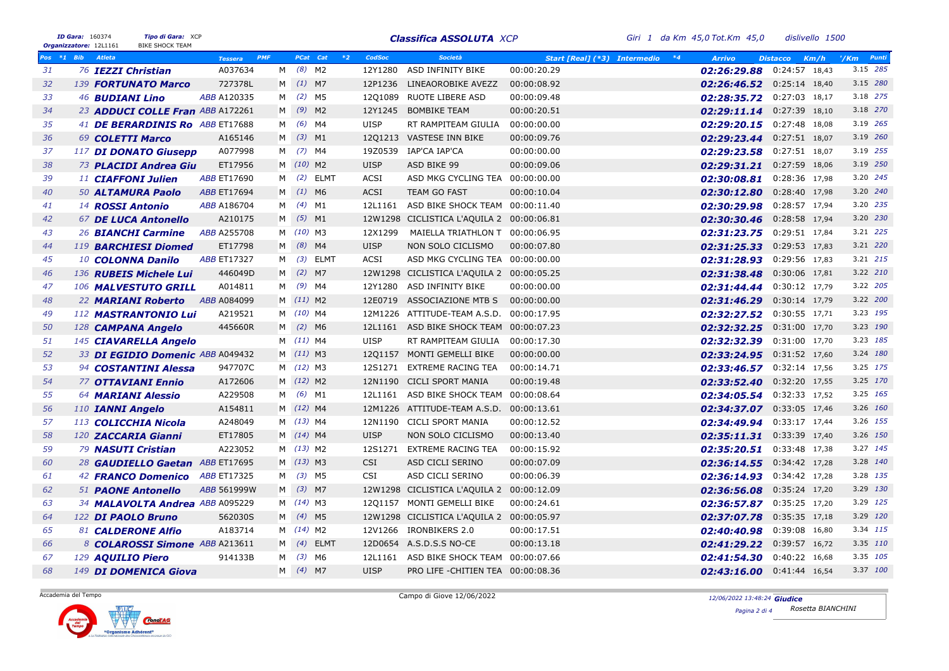|    | ID Gara: 160374<br>Organizzatore: 12L1161 |                        | Tipo di Gara: XCP<br><b>BIKE SHOCK TEAM</b> |                              |   |              |      |             | <b>Classifica ASSOLUTA XCP</b>            |                                      | Giri 1 da Km 45,0 Tot.Km 45,0 | dislivello 1500             |                          |
|----|-------------------------------------------|------------------------|---------------------------------------------|------------------------------|---|--------------|------|-------------|-------------------------------------------|--------------------------------------|-------------------------------|-----------------------------|--------------------------|
|    | Pos *1 Bib                                | <b>Atleta</b>          |                                             | <b>PMF</b><br><b>Tessera</b> |   | PCat Cat     | $*2$ | CodSoc      | Società                                   | $*4$<br>Start [Real] (*3) Intermedio | <b>Arrivo</b>                 | <b>Distacco</b><br>Km/h     | Punti<br>$^{\prime}/$ Km |
| 31 |                                           | 76 IEZZI Christian     |                                             | A037634                      | M | $(8)$ M2     |      | 12Y1280     | ASD INFINITY BIKE                         | 00:00:20.29                          | 02:26:29.88 0:24:57 18,43     |                             | 3.15 285                 |
| 32 |                                           |                        | 139 <b>FORTUNATO Marco</b>                  | 727378L                      |   | M (1) M7     |      | 12P1236     | LINEAOROBIKE AVEZZ                        | 00:00:08.92                          | 02:26:46.52 0:25:14 18,40     |                             | 3.15 280                 |
| 33 |                                           | 46 <b>BUDIANI Lino</b> |                                             | ABB A120335                  | м | $(2)$ M5     |      | 12Q1089     | RUOTE LIBERE ASD                          | 00:00:09.48                          | 02:28:35.72 0:27:03 18,17     |                             | 3.18 275                 |
| 34 |                                           |                        | 23 ADDUCI COLLE Fran ABB A172261            |                              | M | $(9)$ M2     |      | 12Y1245     | <b>BOMBIKE TEAM</b>                       | 00:00:20.51                          | 02:29:11.14 0:27:39 18,10     |                             | 3.18 270                 |
| 35 |                                           |                        | 41 DE BERARDINIS Ro ABB ET17688             |                              | М | (6) M4       |      | <b>UISP</b> | RT RAMPITEAM GIULIA                       | 00:00:00.00                          | 02:29:20.15 0:27:48 18,08     |                             | 3.19 265                 |
| 36 |                                           | 69 COLETTI Marco       |                                             | A165146                      |   | $M$ (3) M1   |      | 1201213     | VASTESE INN BIKE                          | 00:00:09.76                          | 02:29:23.44 0:27:51 18,07     |                             | 3.19 260                 |
| 37 |                                           |                        | 117 DI DONATO Giusepp                       | A077998                      |   | M (7) M4     |      | 19Z0539     | IAP'CA IAP'CA                             | 00:00:00.00                          | 02:29:23.58 0:27:51 18,07     |                             | 3.19 255                 |
| 38 |                                           |                        | 73 PLACIDI Andrea Giu                       | ET17956                      |   | M (10) M2    |      | <b>UISP</b> | ASD BIKE 99                               | 00:00:09.06                          | 02:29:31.21 0:27:59 18,06     |                             | 3.19 250                 |
| 39 |                                           |                        | <sup>11</sup> CIAFFONI Julien               | <b>ABB ET17690</b>           | M | $(2)$ ELMT   |      | <b>ACSI</b> | ASD MKG CYCLING TEA 00:00:00.00           |                                      | 02:30:08.81 0:28:36 17,98     |                             | 3.20 245                 |
| 40 |                                           |                        | 50 ALTAMURA Paolo                           | <b>ABB ET17694</b>           |   | M (1) M6     |      | <b>ACSI</b> | TEAM GO FAST                              | 00:00:10.04                          | 02:30:12.80 0:28:40 17,98     |                             | 3.20 240                 |
| 41 |                                           | 14 ROSSI Antonio       |                                             | ABB A186704                  |   | M (4) M1     |      | 12L1161     | ASD BIKE SHOCK TEAM 00:00:11.40           |                                      | 02:30:29.98 0:28:57 17,94     |                             | 3.20 235                 |
| 42 |                                           |                        | 67 DE LUCA Antonello                        | A210175                      |   | M (5) M1     |      |             | 12W1298 CICLISTICA L'AQUILA 2 00:00:06.81 |                                      | 02:30:30.46 0:28:58 17,94     |                             | 3.20 230                 |
| 43 |                                           |                        | 26 <b>BIANCHI Carmine</b>                   | ABB A255708                  |   | M (10) M3    |      | 12X1299     | MAIELLA TRIATHLON T 00:00:06.95           |                                      | 02:31:23.75 0:29:51 17,84     |                             | 3.21 225                 |
| 44 |                                           |                        | 119 <b>BARCHIESI Diomed</b>                 | ET17798                      |   | M (8) M4     |      | <b>UISP</b> | NON SOLO CICLISMO                         | 00:00:07.80                          | 02:31:25.33 0:29:53 17,83     |                             | 3.21 220                 |
| 45 |                                           |                        | 10 COLONNA Danilo                           | <b>ABB ET17327</b>           | M | $(3)$ ELMT   |      | <b>ACSI</b> | ASD MKG CYCLING TEA 00:00:00.00           |                                      | 02:31:28.93 0:29:56 17,83     |                             | 3.21 215                 |
| 46 |                                           |                        | 136 RUBEIS Michele Lui                      | 446049D                      | M | $(2)$ M7     |      |             | 12W1298 CICLISTICA L'AQUILA 2 00:00:05.25 |                                      | 02:31:38.48 0:30:06 17,81     |                             | 3.22 210                 |
| 47 |                                           |                        | 106 MALVESTUTO GRILL                        | A014811                      | М | $(9)$ M4     |      | 12Y1280     | ASD INFINITY BIKE                         | 00:00:00.00                          | 02:31:44.44 0:30:12 17,79     |                             | 3.22 205                 |
| 48 |                                           |                        | 22 <b>MARIANI Roberto</b>                   | ABB A084099                  |   | M (11) M2    |      | 12E0719     | ASSOCIAZIONE MTB S                        | 00:00:00.00                          | 02:31:46.29 0:30:14 17,79     |                             | 3.22 200                 |
| 49 |                                           |                        | 112 MASTRANTONIO Lui                        | A219521                      |   | M (10) M4    |      |             | 12M1226 ATTITUDE-TEAM A.S.D.              | 00:00:17.95                          | 02:32:27.52 0:30:55 17,71     |                             | 3.23 195                 |
| 50 |                                           |                        | 128 CAMPANA Angelo                          | 445660R                      |   | M (2) M6     |      | 12L1161     | ASD BIKE SHOCK TEAM 00:00:07.23           |                                      | 02:32:32.25 0:31:00 17,70     |                             | 3.23 190                 |
| 51 |                                           |                        | 145 CIAVARELLA Angelo                       |                              |   | M (11) M4    |      | <b>UISP</b> | RT RAMPITEAM GIULIA                       | 00:00:17.30                          | 02:32:32.39 0:31:00 17,70     |                             | 3.23 185                 |
| 52 |                                           |                        | 33 DI EGIDIO Domenic ABB A049432            |                              |   | M (11) M3    |      |             | 1201157 MONTI GEMELLI BIKE                | 00:00:00.00                          | 02:33:24.95 0:31:52 17,60     |                             | 3.24 180                 |
| 53 |                                           |                        | 94 COSTANTINI Alessa                        | 947707C                      |   | M (12) M3    |      |             | 12S1271 EXTREME RACING TEA                | 00:00:14.71                          | 02:33:46.57 0:32:14 17,56     |                             | 3.25 175                 |
| 54 |                                           |                        | <b>77 OTTAVIANI Ennio</b>                   | A172606                      |   | M (12) M2    |      |             | 12N1190 CICLI SPORT MANIA                 | 00:00:19.48                          | 02:33:52.40 0:32:20 17,55     |                             | 3.25 170                 |
| 55 |                                           |                        | <b>64 MARIANI Alessio</b>                   | A229508                      |   | M (6) M1     |      | 12L1161     | ASD BIKE SHOCK TEAM                       | 00:00:08.64                          | 02:34:05.54 0:32:33 17,52     |                             | 3.25 165                 |
| 56 |                                           | 110 IANNI Angelo       |                                             | A154811                      |   | M (12) M4    |      |             | 12M1226 ATTITUDE-TEAM A.S.D. 00:00:13.61  |                                      | 02:34:37.07 0:33:05 17,46     |                             | 3.26 160                 |
| 57 |                                           |                        | 113 COLICCHIA Nicola                        | A248049                      |   | M (13) M4    |      |             | 12N1190 CICLI SPORT MANIA                 | 00:00:12.52                          | 02:34:49.94 0:33:17 17,44     |                             | 3.26 155                 |
| 58 |                                           |                        | 120 ZACCARIA Gianni                         | ET17805                      |   | M (14) M4    |      | <b>UISP</b> | NON SOLO CICLISMO                         | 00:00:13.40                          | 02:35:11.31 0:33:39 17,40     |                             | 3.26 150                 |
| 59 |                                           |                        | 79 <b>NASUTI Cristian</b>                   | A223052                      |   | M (13) M2    |      | 12S1271     | <b>EXTREME RACING TEA</b>                 | 00:00:15.92                          | 02:35:20.51 0:33:48 17,38     |                             | 3.27 145                 |
| 60 |                                           |                        | 28 GAUDIELLO Gaetan ABB ET17695             |                              |   | M (13) M3    |      | <b>CSI</b>  | ASD CICLI SERINO                          | 00:00:07.09                          | 02:36:14.55 0:34:42 17,28     |                             | 3.28 140                 |
| 61 |                                           |                        | 42 <b>FRANCO Domenico</b>                   | <b>ABB ET17325</b>           |   | M (3) M5     |      | <b>CSI</b>  | ASD CICLI SERINO                          | 00:00:06.39                          | 02:36:14.93  0:34:42  17,28   |                             | 3.28 135                 |
| 62 |                                           |                        | 51 <b>PAONE Antonello</b>                   | ABB 561999W                  |   | M (3) M7     |      |             | 12W1298 CICLISTICA L'AQUILA 2 00:00:12.09 |                                      | 02:36:56.08 0:35:24 17,20     |                             | 3.29 130                 |
| 63 |                                           |                        | 34 MALAVOLTA Andrea ABB A095229             |                              |   | M (14) M3    |      |             | 1201157 MONTI GEMELLI BIKE                | 00:00:24.61                          | 02:36:57.87 0:35:25 17,20     |                             | 3.29 125                 |
| 64 |                                           |                        | 122 DI PAOLO Bruno                          | 562030S                      |   | M (4) M5     |      |             | 12W1298 CICLISTICA L'AQUILA 2 00:00:05.97 |                                      | 02:37:07.78 0:35:35 17,18     |                             | 3.29 120                 |
| 65 |                                           |                        | 81 CALDERONE Alfio                          | A183714                      |   | M (14) M2    |      |             | 12V1266 IRONBIKERS 2.0                    | 00:00:17.51                          | 02:40:40.98 0:39:08 16,80     |                             | 3.34 115                 |
| 66 |                                           |                        | 8 COLAROSSI Simone ABB A213611              |                              |   | $M$ (4) ELMT |      |             | 12D0654 A.S.D.S.S NO-CE                   | 00:00:13.18                          | 02:41:29.22 0:39:57 16,72     |                             | 3.35 110                 |
| 67 |                                           | 129 AQUILIO Piero      |                                             | 914133B                      |   | M (3) M6     |      | 12L1161     | ASD BIKE SHOCK TEAM                       | 00:00:07.66                          | 02:41:54.30 0:40:22 16,68     |                             | 3.35 105                 |
| 68 |                                           |                        | 149 DI DOMENICA Giova                       |                              |   | M (4) M7     |      | <b>UISP</b> | PRO LIFE - CHITIEN TEA 00:00:08.36        |                                      |                               | $02:43:16.00$ 0:41:44 16,54 | 3.37 100                 |

Accademia del Tempo



*12/06/2022 13:48:24* Campo di Giove 12/06/2022 *GiudicePagina 2 di 4 Rosetta BIANCHINI*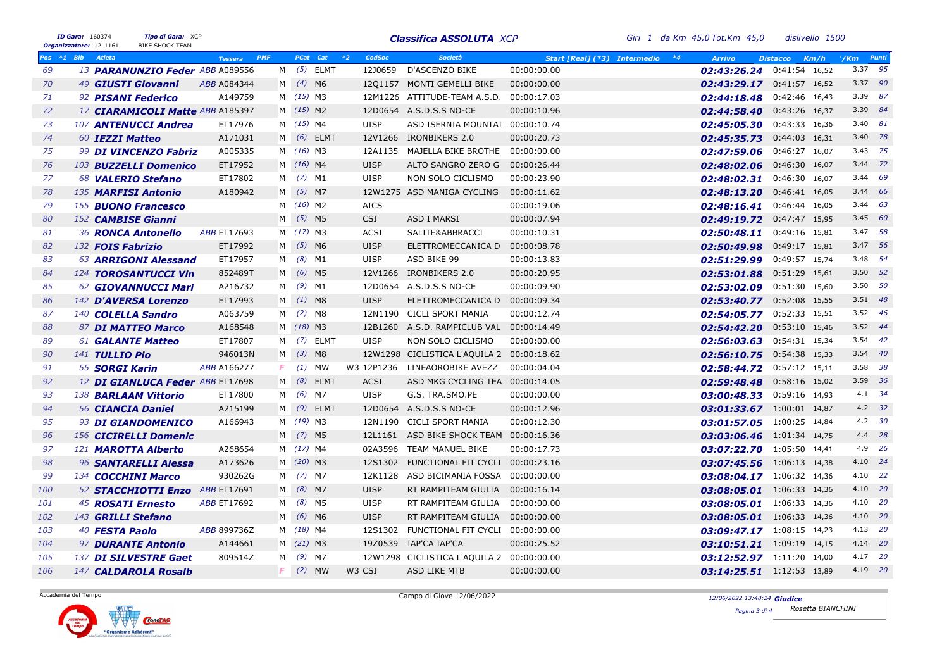|     | ID Gara: 160374<br>Organizzatore: 12L1161 |                       | Tipo di Gara: XCP<br><b>BIKE SHOCK TEAM</b> |                       |    |            |                | <b>Classifica ASSOLUTA XCP</b>            |                                      | Giri 1 da Km 45,0 Tot.Km 45,0 | dislivello 1500         |                 |           |
|-----|-------------------------------------------|-----------------------|---------------------------------------------|-----------------------|----|------------|----------------|-------------------------------------------|--------------------------------------|-------------------------------|-------------------------|-----------------|-----------|
|     | Pos *1 Bib                                | <b>Atleta</b>         |                                             | PMF<br><b>Tessera</b> |    | PCat Cat   | $*2$<br>CodSoc | Società                                   | $*4$<br>Start [Real] (*3) Intermedio | <b>Arrivo</b>                 | <b>Distacco</b><br>Km/h | $^{\prime}/$ Km | Punti     |
| 69  |                                           |                       | 13 PARANUNZIO Feder ABB A089556             |                       | M  | $(5)$ ELMT | 12J0659        | D'ASCENZO BIKE                            | 00:00:00.00                          | $02:43:26.24$ 0:41:54 16,52   |                         |                 | 3.37 95   |
| 70  |                                           |                       | 49 GIUSTI Giovanni                          | ABB A084344           |    | M (4) M6   |                | 1201157 MONTI GEMELLI BIKE                | 00:00:00.00                          | 02:43:29.17 0:41:57 16,52     |                         |                 | 3.37 90   |
| 71  |                                           |                       | 92 <b>PISANI Federico</b>                   | A149759               |    | M (15) M3  |                | 12M1226 ATTITUDE-TEAM A.S.D.              | 00:00:17.03                          | 02:44:18.48  0:42:46  16,43   |                         |                 | 3.39 87   |
| 72  |                                           |                       | 17 <b>CIARAMICOLI Matte ABB A185397</b>     |                       |    | M (15) M2  |                | 12D0654 A.S.D.S.S NO-CE                   | 00:00:10.96                          | 02:44:58.40                   | 0:43:26 16,37           |                 | 3.39 84   |
| 73  |                                           |                       | 107 ANTENUCCI Andrea                        | ET17976               |    | M (15) M4  | <b>UISP</b>    | ASD ISERNIA MOUNTAI                       | 00:00:10.74                          | 02:45:05.30 0:43:33 16,36     |                         |                 | 3.40 81   |
| 74  |                                           | 60 IEZZI Matteo       |                                             | A171031               |    | M (6) ELMT | 12V1266        | IRONBIKERS 2.0                            | 00:00:20.73                          | 02:45:35.73 0:44:03 16,31     |                         |                 | 3.40 78   |
| 75  |                                           |                       | 99 DI VINCENZO Fabriz                       | A005335               |    | M (16) M3  |                | 12A1135 MAJELLA BIKE BROTHE               | 00:00:00.00                          | 02:47:59.06 0:46:27 16,07     |                         |                 | 3.43 75   |
| 76  |                                           |                       | 103 <b>BUZZELLI Domenico</b>                | ET17952               |    | M (16) M4  | <b>UISP</b>    | ALTO SANGRO ZERO G 00:00:26.44            |                                      | 02:48:02.06 0:46:30 16,07     |                         |                 | 3.44 72   |
| 77  |                                           |                       | 68 <b>VALERIO Stefano</b>                   | ET17802               | M  | $(7)$ M1   | <b>UISP</b>    | NON SOLO CICLISMO                         | 00:00:23.90                          | 02:48:02.31 0:46:30 16,07     |                         |                 | 3.44 69   |
| 78  |                                           |                       | 135 <b>MARFISI Antonio</b>                  | A180942               |    | M (5) M7   |                | 12W1275 ASD MANIGA CYCLING                | 00:00:11.62                          | 02:48:13.20                   | 0:46:41 16,05           |                 | 3.44 66   |
| 79  |                                           |                       | 155 <b>BUONO Francesco</b>                  |                       |    | M (16) M2  | <b>AICS</b>    |                                           | 00:00:19.06                          | 02:48:16.41 0:46:44 16,05     |                         |                 | 3.44 63   |
| 80  |                                           |                       | 152 CAMBISE Gianni                          |                       |    | M (5) M5   | <b>CSI</b>     | <b>ASD I MARSI</b>                        | 00:00:07.94                          | 02:49:19.72 0:47:47 15,95     |                         |                 | 3.45 60   |
| 81  |                                           |                       | 36 RONCA Antonello                          | <b>ABB ET17693</b>    |    | M (17) M3  | ACSI           | SALITE&ABBRACCI                           | 00:00:10.31                          | 02:50:48.11 0:49:16 15,81     |                         |                 | 3.47 58   |
| 82  |                                           |                       | 132 <b>FOIS Fabrizio</b>                    | ET17992               |    | M (5) M6   | <b>UISP</b>    | ELETTROMECCANICA D                        | 00:00:08.78                          | 02:50:49.98  0:49:17  15,81   |                         |                 | 3.47 56   |
| 83  |                                           |                       | 63 ARRIGONI Alessand                        | ET17957               | M  | $(8)$ M1   | <b>UISP</b>    | ASD BIKE 99                               | 00:00:13.83                          | 02:51:29.99 0:49:57 15,74     |                         |                 | 3.48 54   |
| 84  |                                           |                       | 124 TOROSANTUCCI Vin                        | 852489T               |    | M (6) M5   | 12V1266        | IRONBIKERS 2.0                            | 00:00:20.95                          | 02:53:01.88  0:51:29  15,61   |                         |                 | 3.50 52   |
| 85  |                                           |                       | 62 GIOVANNUCCI Mari                         | A216732               | M  | $(9)$ M1   | 12D0654        | A.S.D.S.S NO-CE                           | 00:00:09.90                          | 02:53:02.09  0:51:30  15,60   |                         |                 | 3.50 $50$ |
| 86  |                                           |                       | 142 D'AVERSA Lorenzo                        | ET17993               |    | $M$ (1) M8 | <b>UISP</b>    | ELETTROMECCANICA D                        | 00:00:09.34                          | 02:53:40.77 0:52:08 15,55     |                         |                 | 3.51 48   |
| 87  |                                           |                       | 140 COLELLA Sandro                          | A063759               |    | M (2) M8   | 12N1190        | <b>CICLI SPORT MANIA</b>                  | 00:00:12.74                          | 02:54:05.77 0:52:33 15,51     |                         |                 | 3.52 46   |
| 88  |                                           |                       | 87 DI MATTEO Marco                          | A168548               |    | M (18) M3  |                | 12B1260 A.S.D. RAMPICLUB VAL 00:00:14.49  |                                      | 02:54:42.20 0:53:10 15,46     |                         |                 | 3.52 44   |
| 89  |                                           |                       | 61 <b>GALANTE Matteo</b>                    | ET17807               |    | M (7) ELMT | <b>UISP</b>    | NON SOLO CICLISMO                         | 00:00:00.00                          | 02:56:03.63 0:54:31 15,34     |                         |                 | 3.54 42   |
| 90  |                                           | 141 TULLIO Pio        |                                             | 946013N               |    | M (3) M8   |                | 12W1298 CICLISTICA L'AQUILA 2 00:00:18.62 |                                      | 02:56:10.75 0:54:38 15,33     |                         |                 | 3.54 40   |
| 91  |                                           | 55 <b>SORGI Karin</b> |                                             | ABB A166277           | F. | $(1)$ MW   | W3 12P1236     | LINEAOROBIKE AVEZZ                        | 00:00:04.04                          | 02:58:44.72 0:57:12 15,11     |                         |                 | 3.58 38   |
| 92  |                                           |                       | 12 DI GIANLUCA Feder ABB ET17698            |                       |    | M (8) ELMT | <b>ACSI</b>    | ASD MKG CYCLING TEA 00:00:14.05           |                                      | 02:59:48.48 0:58:16 15,02     |                         |                 | 3.59 36   |
| 93  |                                           |                       | 138 <b>BARLAAM Vittorio</b>                 | ET17800               |    | M (6) M7   | <b>UISP</b>    | G.S. TRA.SMO.PE                           | 00:00:00.00                          | 03:00:48.33 0:59:16 14,93     |                         |                 | 4.1 34    |
| 94  |                                           |                       | 56 CIANCIA Daniel                           | A215199               |    | M (9) ELMT |                | 12D0654 A.S.D.S.S NO-CE                   | 00:00:12.96                          | 03:01:33.67 1:00:01 14,87     |                         |                 | $4.2$ 32  |
| 95  |                                           |                       | 93 DI GIANDOMENICO                          | A166943               |    | M (19) M3  |                | 12N1190 CICLI SPORT MANIA                 | 00:00:12.30                          | 03:01:57.05 1:00:25 14,84     |                         |                 | $4.2$ 30  |
| 96  |                                           |                       | 156 CICIRELLI Domenic                       |                       |    | M (7) M5   |                | 12L1161 ASD BIKE SHOCK TEAM 00:00:16.36   |                                      | 03:03:06.46 1:01:34 14,75     |                         |                 | 4.4 28    |
| 97  |                                           |                       | 121 MAROTTA Alberto                         | A268654               |    | M (17) M4  |                | 02A3596 TEAM MANUEL BIKE                  | 00:00:17.73                          | 03:07:22.70 1:05:50 14,41     |                         |                 | 4.9 26    |
| 98  |                                           |                       | 96 SANTARELLI Alessa                        | A173626               |    | M (20) M3  | 12S1302        | FUNCTIONAL FIT CYCLI 00:00:23.16          |                                      | 03:07:45.56 1:06:13 14,38     |                         |                 | 4.10 24   |
| 99  |                                           |                       | 134 COCCHINI Marco                          | 930262G               |    | M (7) M7   | 12K1128        | ASD BICIMANIA FOSSA                       | 00:00:00.00                          | 03:08:04.17 1:06:32 14,36     |                         |                 | 4.10 22   |
| 100 |                                           |                       | 52 STACCHIOTTI Enzo ABB ET17691             |                       |    | $M$ (8) M7 | <b>UISP</b>    | RT RAMPITEAM GIULIA                       | 00:00:16.14                          | 03:08:05.01 1:06:33 14,36     |                         |                 | 4.10 20   |
| 101 |                                           |                       | 45 <b>ROSATI Ernesto</b>                    | <b>ABB ET17692</b>    | M  | (8) M5     | <b>UISP</b>    | RT RAMPITEAM GIULIA                       | 00:00:00.00                          | 03:08:05.01 1:06:33 14,36     |                         |                 | 4.10 20   |
| 102 |                                           |                       | 143 GRILLI Stefano                          |                       | M  | $(6)$ M6   | <b>UISP</b>    | RT RAMPITEAM GIULIA 00:00:00.00           |                                      | 03:08:05.01 1:06:33 14,36     |                         |                 | 4.10 20   |
| 103 |                                           | 40 <b>FESTA Paolo</b> |                                             | ABB 899736Z           | M  | $(18)$ M4  | 12S1302        | FUNCTIONAL FIT CYCLI 00:00:00.00          |                                      | $03:09:47.17$ 1:08:15 14,23   |                         |                 | 4.13 20   |
| 104 |                                           |                       | 97 <b>DURANTE Antonio</b>                   | A144661               |    | M (21) M3  | 19Z0539        | IAP'CA IAP'CA                             | 00:00:25.52                          | 03:10:51.21 1:09:19 14,15     |                         |                 | 4.14 20   |
| 105 |                                           |                       | 137 DI SILVESTRE Gaet                       | 809514Z               |    | M (9) M7   |                | 12W1298 CICLISTICA L'AQUILA 2 00:00:00.00 |                                      | 03:12:52.97 1:11:20 14,00     |                         |                 | 4.17 20   |
| 106 |                                           |                       | 147 CALDAROLA Rosalb                        |                       | F. | $(2)$ MW   | W3 CSI         | ASD LIKE MTB                              | 00:00:00.00                          | 03:14:25.51 1:12:53 13,89     |                         |                 | 4.19 20   |

Accademia del Tempo